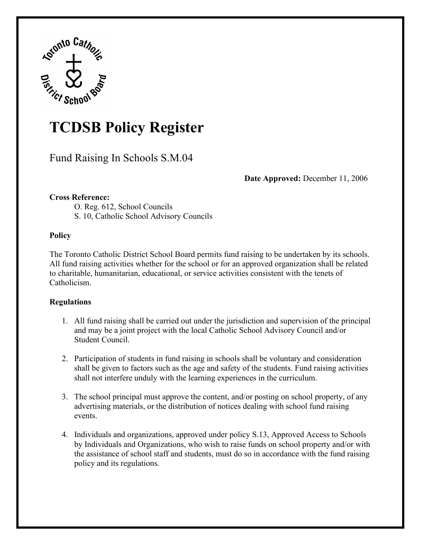

## **TCDSB Policy Register**

Fund Raising In Schools S.M.04

**Date Approved:** December 11, 2006

## **Cross Reference:**

O. Reg. 612, School Councils

S. 10, Catholic School Advisory Councils

## **Policy**

The Toronto Catholic District School Board permits fund raising to be undertaken by its schools. All fund raising activities whether for the school or for an approved organization shall be related to charitable, humanitarian, educational, or service activities consistent with the tenets of Catholicism.

## **Regulations**

- 1. All fund raising shall be carried out under the jurisdiction and supervision of the principal and may be a joint project with the local Catholic School Advisory Council and/or Student Council.
- 2. Participation of students in fund raising in schools shall be voluntary and consideration shall be given to factors such as the age and safety of the students. Fund raising activities shall not interfere unduly with the learning experiences in the curriculum.
- 3. The school principal must approve the content, and/or posting on school property, of any advertising materials, or the distribution of notices dealing with school fund raising events.
- 4. Individuals and organizations, approved under policy S.13, Approved Access to Schools by Individuals and Organizations, who wish to raise funds on school property and/or with the assistance of school staff and students, must do so in accordance with the fund raising policy and its regulations.